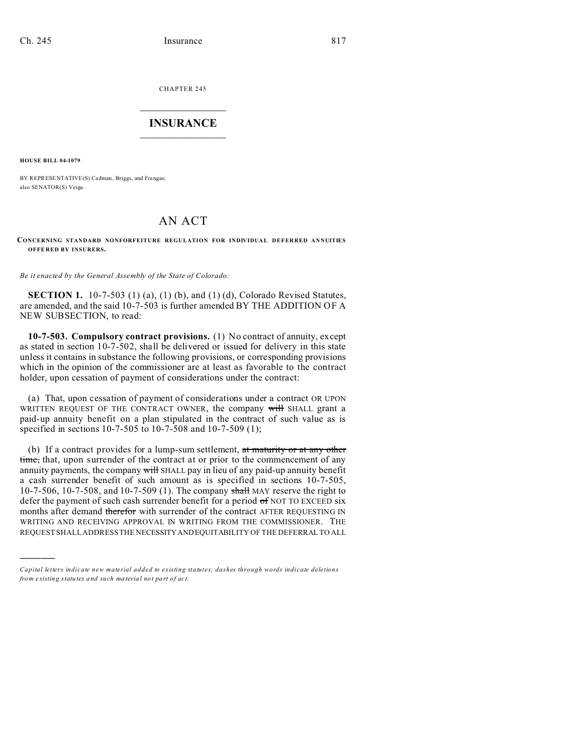CHAPTER 245  $\overline{\phantom{a}}$  , where  $\overline{\phantom{a}}$ 

# **INSURANCE**  $\_$   $\_$   $\_$   $\_$   $\_$   $\_$   $\_$   $\_$

**HOUSE BILL 04-1079**

)))))

BY REPRESENTATIVE(S) Cadman, Briggs, and Frangas; also SENATOR(S) Veiga.

# AN ACT

#### **CONCERNING STANDARD NONFORFEITURE REGULATION FOR INDIVIDUAL DEFERRED ANNUITIES OFFE RED BY INSURERS.**

*Be it enacted by the General Assembly of the State of Colorado:*

**SECTION 1.** 10-7-503 (1) (a), (1) (b), and (1) (d), Colorado Revised Statutes, are amended, and the said 10-7-503 is further amended BY THE ADDITION OF A NEW SUBSECTION, to read:

**10-7-503. Compulsory contract provisions.** (1) No contract of annuity, except as stated in section 10-7-502, shall be delivered or issued for delivery in this state unless it contains in substance the following provisions, or corresponding provisions which in the opinion of the commissioner are at least as favorable to the contract holder, upon cessation of payment of considerations under the contract:

(a) That, upon cessation of payment of considerations under a contract OR UPON WRITTEN REQUEST OF THE CONTRACT OWNER, the company will SHALL grant a paid-up annuity benefit on a plan stipulated in the contract of such value as is specified in sections 10-7-505 to 10-7-508 and 10-7-509 (1);

(b) If a contract provides for a lump-sum settlement, at maturity or at any other time, that, upon surrender of the contract at or prior to the commencement of any annuity payments, the company will SHALL pay in lieu of any paid-up annuity benefit a cash surrender benefit of such amount as is specified in sections 10-7-505, 10-7-506, 10-7-508, and 10-7-509 (1). The company shall MAY reserve the right to defer the payment of such cash surrender benefit for a period of NOT TO EXCEED six months after demand therefor with surrender of the contract AFTER REQUESTING IN WRITING AND RECEIVING APPROVAL IN WRITING FROM THE COMMISSIONER. THE REQUEST SHALL ADDRESS THE NECESSITYANDEQUITABILITY OF THE DEFERRAL TO ALL

*Capital letters indicate new material added to existing statutes; dashes through words indicate deletions from e xistin g statu tes a nd such ma teria l no t pa rt of ac t.*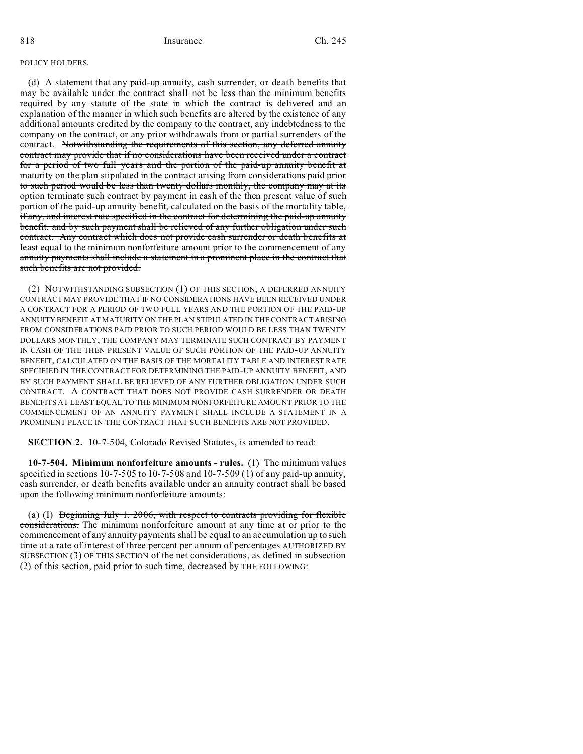## POLICY HOLDERS.

(d) A statement that any paid-up annuity, cash surrender, or death benefits that may be available under the contract shall not be less than the minimum benefits required by any statute of the state in which the contract is delivered and an explanation of the manner in which such benefits are altered by the existence of any additional amounts credited by the company to the contract, any indebtedness to the company on the contract, or any prior withdrawals from or partial surrenders of the contract. Notwithstanding the requirements of this section, any deferred annuity contract may provide that if no considerations have been received under a contract for a period of two full years and the portion of the paid-up annuity benefit at maturity on the plan stipulated in the contract arising from considerations paid prior to such period would be less than twenty dollars monthly, the company may at its option terminate such contract by payment in cash of the then present value of such portion of the paid-up annuity benefit, calculated on the basis of the mortality table, if any, and interest rate specified in the contract for determining the paid-up annuity benefit, and by such payment shall be relieved of any further obligation under such contract. Any contract which does not provide cash surrender or death benefits at least equal to the minimum nonforfeiture amount prior to the commencement of any annuity payments shall include a statement in a prominent place in the contract that such benefits are not provided.

(2) NOTWITHSTANDING SUBSECTION (1) OF THIS SECTION, A DEFERRED ANNUITY CONTRACT MAY PROVIDE THAT IF NO CONSIDERATIONS HAVE BEEN RECEIVED UNDER A CONTRACT FOR A PERIOD OF TWO FULL YEARS AND THE PORTION OF THE PAID-UP ANNUITY BENEFIT AT MATURITY ON THE PLAN STIPULATED IN THE CONTRACT ARISING FROM CONSIDERATIONS PAID PRIOR TO SUCH PERIOD WOULD BE LESS THAN TWENTY DOLLARS MONTHLY, THE COMPANY MAY TERMINATE SUCH CONTRACT BY PAYMENT IN CASH OF THE THEN PRESENT VALUE OF SUCH PORTION OF THE PAID-UP ANNUITY BENEFIT, CALCULATED ON THE BASIS OF THE MORTALITY TABLE AND INTEREST RATE SPECIFIED IN THE CONTRACT FOR DETERMINING THE PAID-UP ANNUITY BENEFIT, AND BY SUCH PAYMENT SHALL BE RELIEVED OF ANY FURTHER OBLIGATION UNDER SUCH CONTRACT. A CONTRACT THAT DOES NOT PROVIDE CASH SURRENDER OR DEATH BENEFITS AT LEAST EQUAL TO THE MINIMUM NONFORFEITURE AMOUNT PRIOR TO THE COMMENCEMENT OF AN ANNUITY PAYMENT SHALL INCLUDE A STATEMENT IN A PROMINENT PLACE IN THE CONTRACT THAT SUCH BENEFITS ARE NOT PROVIDED.

**SECTION 2.** 10-7-504, Colorado Revised Statutes, is amended to read:

**10-7-504. Minimum nonforfeiture amounts - rules.** (1) The minimum values specified in sections 10-7-505 to 10-7-508 and 10-7-509 (1) of any paid-up annuity, cash surrender, or death benefits available under an annuity contract shall be based upon the following minimum nonforfeiture amounts:

(a) (I) Beginning July 1, 2006, with respect to contracts providing for flexible considerations, The minimum nonforfeiture amount at any time at or prior to the commencement of any annuity payments shall be equal to an accumulation up to such time at a rate of interest of three percent per annum of percentages AUTHORIZED BY SUBSECTION (3) OF THIS SECTION of the net considerations, as defined in subsection (2) of this section, paid prior to such time, decreased by THE FOLLOWING: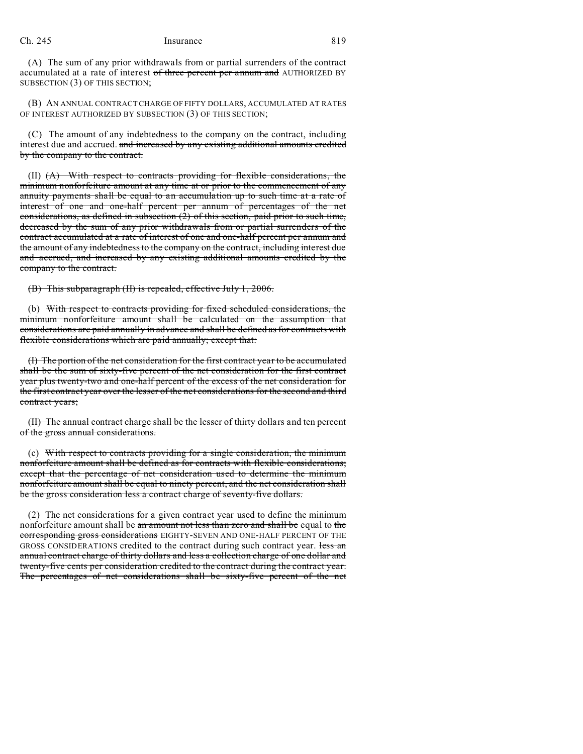## Ch. 245 Insurance 819

(A) The sum of any prior withdrawals from or partial surrenders of the contract accumulated at a rate of interest of three percent per annum and AUTHORIZED BY SUBSECTION (3) OF THIS SECTION;

(B) AN ANNUAL CONTRACT CHARGE OF FIFTY DOLLARS, ACCUMULATED AT RATES OF INTEREST AUTHORIZED BY SUBSECTION (3) OF THIS SECTION;

(C) The amount of any indebtedness to the company on the contract, including interest due and accrued. and increased by any existing additional amounts credited by the company to the contract.

(II) (A) With respect to contracts providing for flexible considerations, the minimum nonforfeiture amount at any time at or prior to the commencement of any annuity payments shall be equal to an accumulation up to such time at a rate of interest of one and one-half percent per annum of percentages of the net considerations, as defined in subsection (2) of this section, paid prior to such time, decreased by the sum of any prior withdrawals from or partial surrenders of the contract accumulated at a rate of interest of one and one-half percent per annum and the amount of any indebtedness to the company on the contract, including interest due and accrued, and increased by any existing additional amounts credited by the company to the contract.

(B) This subparagraph (II) is repealed, effective July 1, 2006.

(b) With respect to contracts providing for fixed scheduled considerations, the minimum nonforfeiture amount shall be calculated on the assumption that considerations are paid annually in advance and shall be defined as for contracts with flexible considerations which are paid annually; except that:

(I) The portion of the net consideration for the first contract year to be accumulated shall be the sum of sixty-five percent of the net consideration for the first contract year plus twenty-two and one-half percent of the excess of the net consideration for the first contract year over the lesser of the net considerations for the second and third contract years;

(II) The annual contract charge shall be the lesser of thirty dollars and ten percent of the gross annual considerations.

(c) With respect to contracts providing for a single consideration, the minimum nonforfeiture amount shall be defined as for contracts with flexible considerations; except that the percentage of net consideration used to determine the minimum nonforfeiture amount shall be equal to ninety percent, and the net consideration shall be the gross consideration less a contract charge of seventy-five dollars.

(2) The net considerations for a given contract year used to define the minimum nonforfeiture amount shall be an amount not less than zero and shall be equal to the corresponding gross considerations EIGHTY-SEVEN AND ONE-HALF PERCENT OF THE GROSS CONSIDERATIONS credited to the contract during such contract year. less an annual contract charge of thirty dollars and less a collection charge of one dollar and twenty-five cents per consideration credited to the contract during the contract year. The percentages of net considerations shall be sixty-five percent of the net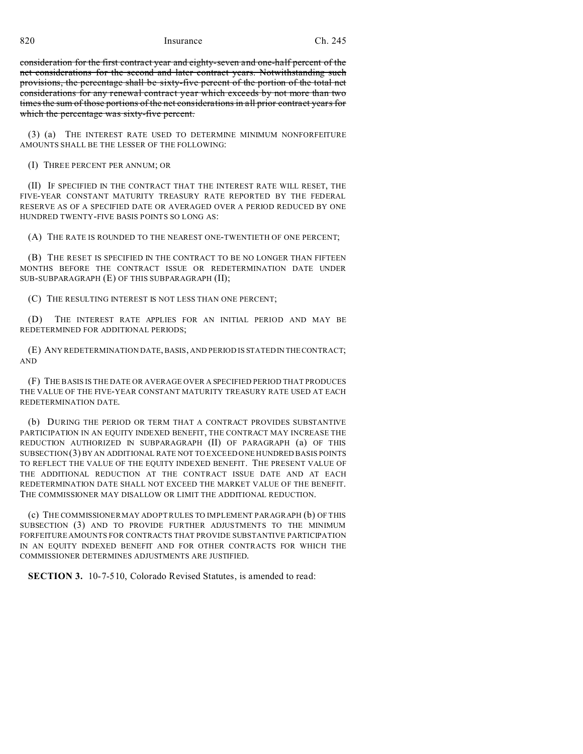820 Insurance Ch. 245

consideration for the first contract year and eighty-seven and one-half percent of the net considerations for the second and later contract years. Notwithstanding such provisions, the percentage shall be sixty-five percent of the portion of the total net considerations for any renewal contract year which exceeds by not more than two times the sum of those portions of the net considerations in all prior contract years for which the percentage was sixty-five percent.

(3) (a) THE INTEREST RATE USED TO DETERMINE MINIMUM NONFORFEITURE AMOUNTS SHALL BE THE LESSER OF THE FOLLOWING:

(I) THREE PERCENT PER ANNUM; OR

(II) IF SPECIFIED IN THE CONTRACT THAT THE INTEREST RATE WILL RESET, THE FIVE-YEAR CONSTANT MATURITY TREASURY RATE REPORTED BY THE FEDERAL RESERVE AS OF A SPECIFIED DATE OR AVERAGED OVER A PERIOD REDUCED BY ONE HUNDRED TWENTY-FIVE BASIS POINTS SO LONG AS:

(A) THE RATE IS ROUNDED TO THE NEAREST ONE-TWENTIETH OF ONE PERCENT;

(B) THE RESET IS SPECIFIED IN THE CONTRACT TO BE NO LONGER THAN FIFTEEN MONTHS BEFORE THE CONTRACT ISSUE OR REDETERMINATION DATE UNDER SUB-SUBPARAGRAPH (E) OF THIS SUBPARAGRAPH (II);

(C) THE RESULTING INTEREST IS NOT LESS THAN ONE PERCENT;

(D) THE INTEREST RATE APPLIES FOR AN INITIAL PERIOD AND MAY BE REDETERMINED FOR ADDITIONAL PERIODS;

(E) ANY REDETERMINATION DATE, BASIS, AND PERIOD IS STATED IN THECONTRACT; AND

(F) THE BASIS IS THE DATE OR AVERAGE OVER A SPECIFIED PERIOD THAT PRODUCES THE VALUE OF THE FIVE-YEAR CONSTANT MATURITY TREASURY RATE USED AT EACH REDETERMINATION DATE.

(b) DURING THE PERIOD OR TERM THAT A CONTRACT PROVIDES SUBSTANTIVE PARTICIPATION IN AN EQUITY INDEXED BENEFIT, THE CONTRACT MAY INCREASE THE REDUCTION AUTHORIZED IN SUBPARAGRAPH (II) OF PARAGRAPH (a) OF THIS SUBSECTION(3) BY AN ADDITIONAL RATE NOT TO EXCEED ONE HUNDRED BASIS POINTS TO REFLECT THE VALUE OF THE EQUITY INDEXED BENEFIT. THE PRESENT VALUE OF THE ADDITIONAL REDUCTION AT THE CONTRACT ISSUE DATE AND AT EACH REDETERMINATION DATE SHALL NOT EXCEED THE MARKET VALUE OF THE BENEFIT. THE COMMISSIONER MAY DISALLOW OR LIMIT THE ADDITIONAL REDUCTION.

(c) THE COMMISSIONER MAY ADOPT RULES TO IMPLEMENT PARAGRAPH (b) OF THIS SUBSECTION (3) AND TO PROVIDE FURTHER ADJUSTMENTS TO THE MINIMUM FORFEITURE AMOUNTS FOR CONTRACTS THAT PROVIDE SUBSTANTIVE PARTICIPATION IN AN EQUITY INDEXED BENEFIT AND FOR OTHER CONTRACTS FOR WHICH THE COMMISSIONER DETERMINES ADJUSTMENTS ARE JUSTIFIED.

**SECTION 3.** 10-7-510, Colorado Revised Statutes, is amended to read: